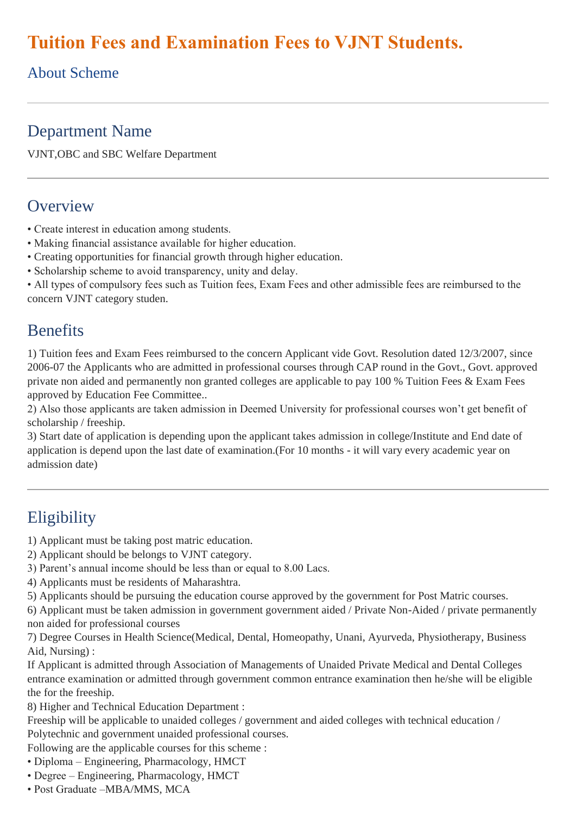# **Tuition Fees and Examination Fees to VJNT Students.**

#### About Scheme

#### Department Name

VJNT,OBC and SBC Welfare Department

#### **Overview**

- Create interest in education among students.
- Making financial assistance available for higher education.
- Creating opportunities for financial growth through higher education.
- Scholarship scheme to avoid transparency, unity and delay.

• All types of compulsory fees such as Tuition fees, Exam Fees and other admissible fees are reimbursed to the concern VJNT category studen.

#### **Benefits**

1) Tuition fees and Exam Fees reimbursed to the concern Applicant vide Govt. Resolution dated 12/3/2007, since 2006-07 the Applicants who are admitted in professional courses through CAP round in the Govt., Govt. approved private non aided and permanently non granted colleges are applicable to pay 100 % Tuition Fees & Exam Fees approved by Education Fee Committee..

2) Also those applicants are taken admission in Deemed University for professional courses won't get benefit of scholarship / freeship.

3) Start date of application is depending upon the applicant takes admission in college/Institute and End date of application is depend upon the last date of examination.(For 10 months - it will vary every academic year on admission date)

# **Eligibility**

- 1) Applicant must be taking post matric education.
- 2) Applicant should be belongs to VJNT category.
- 3) Parent's annual income should be less than or equal to 8.00 Lacs.
- 4) Applicants must be residents of Maharashtra.
- 5) Applicants should be pursuing the education course approved by the government for Post Matric courses.

6) Applicant must be taken admission in government government aided / Private Non-Aided / private permanently non aided for professional courses

7) Degree Courses in Health Science(Medical, Dental, Homeopathy, Unani, Ayurveda, Physiotherapy, Business Aid, Nursing) :

If Applicant is admitted through Association of Managements of Unaided Private Medical and Dental Colleges entrance examination or admitted through government common entrance examination then he/she will be eligible the for the freeship.

8) Higher and Technical Education Department :

Freeship will be applicable to unaided colleges / government and aided colleges with technical education / Polytechnic and government unaided professional courses.

Following are the applicable courses for this scheme :

- Diploma Engineering, Pharmacology, HMCT
- Degree Engineering, Pharmacology, HMCT
- Post Graduate –MBA/MMS, MCA